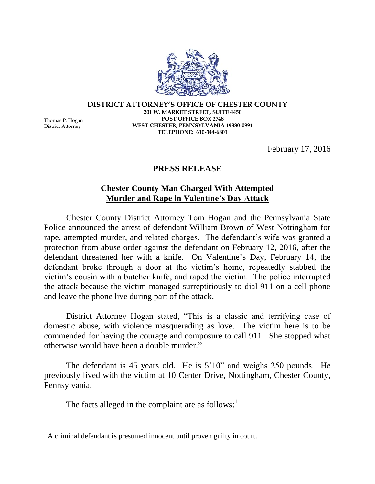**DISTRICT ATTORNEY'S OFFICE OF CHESTER COUNTY 201 W. MARKET STREET, SUITE 4450 POST OFFICE BOX 2748 WEST CHESTER, PENNSYLVANIA 19380-0991 TELEPHONE: 610-344-6801**

Thomas P. Hogan District Attorney

 $\overline{a}$ 

February 17, 2016

## **PRESS RELEASE**

## **Chester County Man Charged With Attempted Murder and Rape in Valentine's Day Attack**

Chester County District Attorney Tom Hogan and the Pennsylvania State Police announced the arrest of defendant William Brown of West Nottingham for rape, attempted murder, and related charges. The defendant's wife was granted a protection from abuse order against the defendant on February 12, 2016, after the defendant threatened her with a knife. On Valentine's Day, February 14, the defendant broke through a door at the victim's home, repeatedly stabbed the victim's cousin with a butcher knife, and raped the victim. The police interrupted the attack because the victim managed surreptitiously to dial 911 on a cell phone and leave the phone live during part of the attack.

District Attorney Hogan stated, "This is a classic and terrifying case of domestic abuse, with violence masquerading as love. The victim here is to be commended for having the courage and composure to call 911. She stopped what otherwise would have been a double murder."

The defendant is 45 years old. He is 5'10" and weighs 250 pounds. He previously lived with the victim at 10 Center Drive, Nottingham, Chester County, Pennsylvania.

The facts alleged in the complaint are as follows: $<sup>1</sup>$ </sup>

<sup>&</sup>lt;sup>1</sup> A criminal defendant is presumed innocent until proven guilty in court.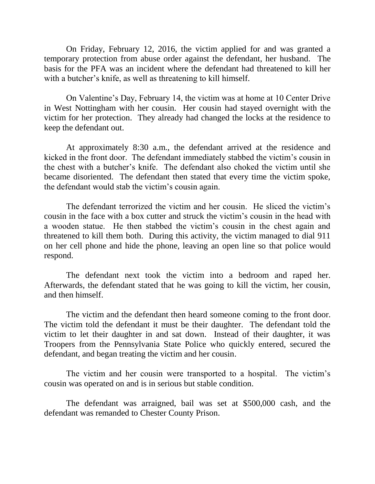On Friday, February 12, 2016, the victim applied for and was granted a temporary protection from abuse order against the defendant, her husband. The basis for the PFA was an incident where the defendant had threatened to kill her with a butcher's knife, as well as threatening to kill himself.

On Valentine's Day, February 14, the victim was at home at 10 Center Drive in West Nottingham with her cousin. Her cousin had stayed overnight with the victim for her protection. They already had changed the locks at the residence to keep the defendant out.

At approximately 8:30 a.m., the defendant arrived at the residence and kicked in the front door. The defendant immediately stabbed the victim's cousin in the chest with a butcher's knife. The defendant also choked the victim until she became disoriented. The defendant then stated that every time the victim spoke, the defendant would stab the victim's cousin again.

The defendant terrorized the victim and her cousin. He sliced the victim's cousin in the face with a box cutter and struck the victim's cousin in the head with a wooden statue. He then stabbed the victim's cousin in the chest again and threatened to kill them both. During this activity, the victim managed to dial 911 on her cell phone and hide the phone, leaving an open line so that police would respond.

The defendant next took the victim into a bedroom and raped her. Afterwards, the defendant stated that he was going to kill the victim, her cousin, and then himself.

The victim and the defendant then heard someone coming to the front door. The victim told the defendant it must be their daughter. The defendant told the victim to let their daughter in and sat down. Instead of their daughter, it was Troopers from the Pennsylvania State Police who quickly entered, secured the defendant, and began treating the victim and her cousin.

The victim and her cousin were transported to a hospital. The victim's cousin was operated on and is in serious but stable condition.

The defendant was arraigned, bail was set at \$500,000 cash, and the defendant was remanded to Chester County Prison.